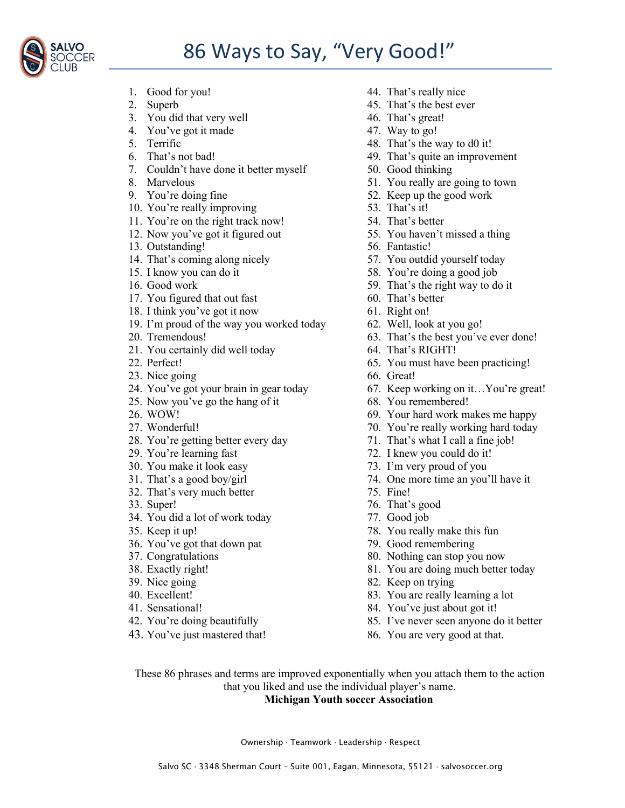## 86 Ways to Say, "Very Good!"



- 
- 
- 3. You did that very well 46. That's great!
- 4. You've got it made 47. Way to go!
- 
- 
- 7. Couldn't have done it better myself 50. Good thinking
- 
- 
- 10. You're really improving 53. That's it!
- 11. You're on the right track now! 54. That's better
- 
- 13. Outstanding! 56. Fantastic!
- 14. That's coming along nicely 57. You outdid yourself today
- 
- 
- 17. You figured that out fast 60. That's better
- 18. I think you've got it now 61. Right on!
- 19. I'm proud of the way you worked today 62. Well, look at you go!
- 
- 21. You certainly did well today 64. That's RIGHT!
- 
- 23. Nice going 66. Great!
- 
- 25. Now you've go the hang of it 68. You remembered!
- 
- 
- 28. You're getting better every day 71. That's what I call a fine job!
- 
- 
- 
- 32. That's very much better 75. Fine!
- 
- 34. You did a lot of work today 77. Good job
- 
- 36. You've got that down pat 79. Good remembering
- 
- 
- 
- 
- 
- 
- 43. You've just mastered that! 86. You are very good at that.
- 1. Good for you! 44. That's really nice
- 2. Superb 45. That's the best ever
	-
	-
- 5. Terrific 48. That's the way to d0 it!
- 6. That's not bad! 49. That's quite an improvement
	-
- 8. Marvelous 51. You really are going to town
- 9. You're doing fine 52. Keep up the good work
	-
	-
- 12. Now you've got it figured out 55. You haven't missed a thing
	-
	-
- 15. I know you can do it 58. You're doing a good job
- 16. Good work 59. That's the right way to do it
	-
	-
	-
- 20. Tremendous! 63. That's the best you've ever done!
	-
- 22. Perfect! 65. You must have been practicing!
	-
- 24. You've got your brain in gear today 67. Keep working on it…You're great!
	-
- 26. WOW! 69. Your hard work makes me happy
- 27. Wonderful! 2012 27. Wonderful!
	-
- 29. You're learning fast 72. I knew you could do it!
- 30. You make it look easy 73. I'm very proud of you
- 31. That's a good boy/girl 74. One more time an you'll have it
	-
- 33. Super! 76. That's good
	-
- 35. Keep it up! 78. You really make this fun
	-
- 37. Congratulations 80. Nothing can stop you now
- 38. Exactly right! 81. You are doing much better today
- 39. Nice going 82. Keep on trying
- 40. Excellent! 83. You are really learning a lot
- 41. Sensational! 84. You've just about got it!
- 42. You're doing beautifully 85. I've never seen anyone do it better
	-

These 86 phrases and terms are improved exponentially when you attach them to the action that you liked and use the individual player's name.

## **Michigan Youth soccer Association**

Ownership · Teamwork · Leadership · Respect